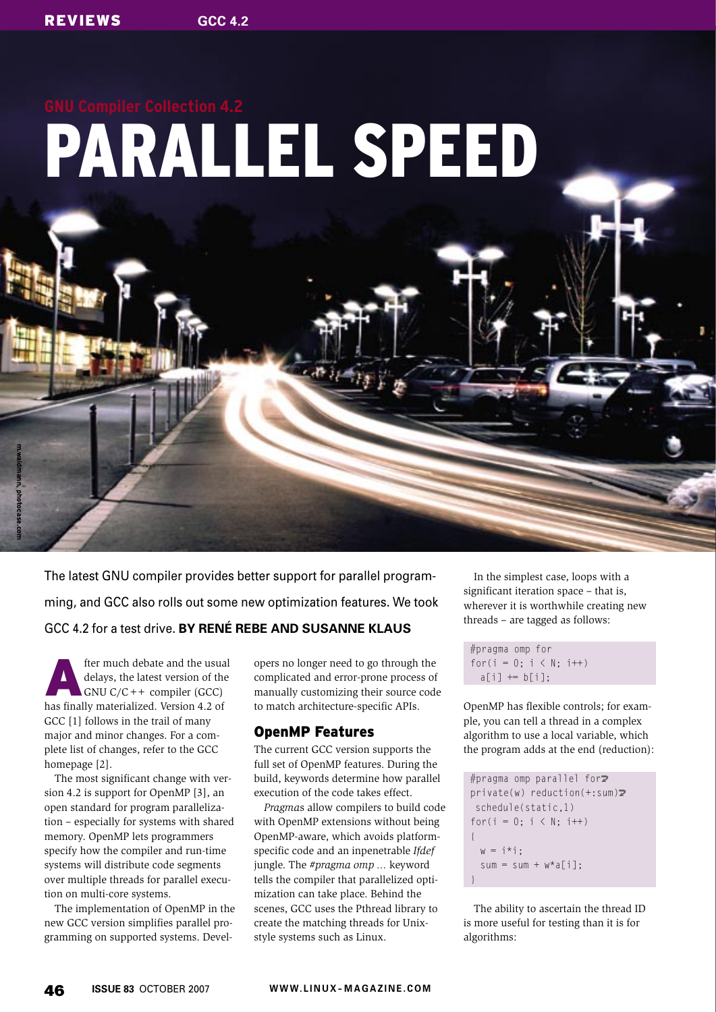**m.waidmann, photocase.com**

# PARALLEL SPEED

The latest GNU compiler provides better support for parallel programming, and GCC also rolls out some new optimization features. We took GCC 4.2 for a test drive. **BY RENÉ REBE AND SUSANNE KLAUS**

fter much debate and the usual delays, the latest version of the  $GNU C/C++$  compiler (GCC) has finally materialized. Version 4.2 of GCC [1] follows in the trail of many major and minor changes. For a complete list of changes, refer to the GCC homepage [2].

The most significant change with version 4.2 is support for OpenMP [3], an open standard for program parallelization – especially for systems with shared memory. OpenMP lets programmers specify how the compiler and run-time systems will distribute code segments over multiple threads for parallel execution on multi-core systems.

The implementation of OpenMP in the new GCC version simplifies parallel programming on supported systems. Developers no longer need to go through the complicated and error-prone process of manually customizing their source code to match architecture-specific APIs.

### OpenMP Features

The current GCC version supports the full set of OpenMP features. During the build, keywords determine how parallel execution of the code takes effect.

*Pragma*s allow compilers to build code with OpenMP extensions without being OpenMP-aware, which avoids platformspecific code and an inpenetrable *Ifdef* jungle. The *#pragma omp ...* keyword tells the compiler that parallelized optimization can take place. Behind the scenes, GCC uses the Pthread library to create the matching threads for Unixstyle systems such as Linux.

In the simplest case, loops with a significant iteration space – that is, wherever it is worthwhile creating new threads – are tagged as follows:

#pragma omp for for( $i = 0; i < N; i++)$  $a[i]$  +=  $b[i]$ ;

OpenMP has flexible controls; for example, you can tell a thread in a complex algorithm to use a local variable, which the program adds at the end (reduction):

```
#pragma omp parallel for\overline{z}private(w) reduction(+;sum) schedule(static,1)
for(i = 0; i < N; i++)
\{w = i * i:
  sum = sum + w*a[i];}
```
The ability to ascertain the thread ID is more useful for testing than it is for algorithms: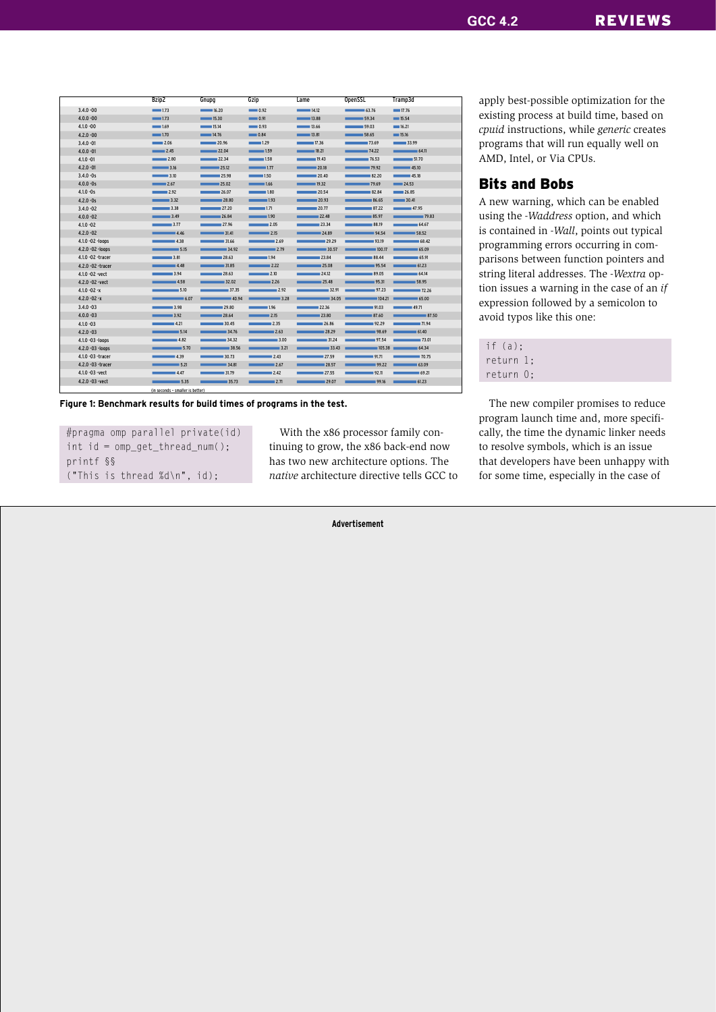|                     | Bzip2                            | Gnupg                             | Gzip          | Lame                                  | <b>OpenSSL</b>     | Tramp3d        |
|---------------------|----------------------------------|-----------------------------------|---------------|---------------------------------------|--------------------|----------------|
| $3.4.0 - 00$        | $\equiv$ 1.73                    | 16.20                             | $\sim$ 0.92   | 14.12                                 | $- 63.76$          | 17.76          |
| $4.0.0 - 00$        | $\equiv$ 1.73                    | 15.30                             | $- 0.91$      | 13.88                                 | 59.34              | 15.54          |
| $4.1.0 - 00$        | 1.69                             | 15.14                             | $- 0.93$      | 13.66                                 | 59.03              | 16.21          |
| $4.2.0 - 00$        | 1.70                             | 14.76                             | $- 0.84$      | 13.81                                 | 58.65              | 15.16          |
| $3.4.0 - 01$        | 2.06                             | 20.96                             | 1.29          | 17.36                                 | 73.69              | 33.99          |
| $4.0.0 - 01$        | $\sim$ 2.45                      | 22.04                             | $\frac{1}{2}$ | 18.21                                 | $\overline{14.22}$ | 64.11          |
| $4.1.0 - 01$        | 2.80                             | 22.34                             | $\sim$ 1.58   | 19.43                                 | 76.53              | 51.70          |
| $4.2.0 - 01$        | $\frac{1}{2}$ 3.16               | 25.12                             | $\sim$ 1.77   | $= 20.18$<br>$\overline{\phantom{a}}$ | 79.92              | 45.10          |
| $3.4.0 - 0s$        | $\frac{1}{3.10}$                 | 25.98                             | 1.50          | $= 20.40$<br><b>Contract</b>          | 82.20              | 45.18          |
| $4.0.0 - 0s$        | $\sim$ 2.67                      | 25.02                             | $\frac{1}{2}$ | 19.32                                 | 79.69              | 24.53          |
| $4.1.0 - 0s$        | 2.92                             | 26.07                             | 1.80          | 20.54                                 | 82.84              | 26.85          |
| $4.2.0 - 0s$        | $\overline{\phantom{1}}$ 3.32    | 28.80                             | $\sim$ 1.93   | $= 20.93$<br>-                        | 86.65              | $- 30.41$      |
| $3.4.0 - 02$        | 3.38                             | 27.20                             | $\sim$ 1.71   | 20.77                                 | $-87.22$           | 47.95          |
| $4.0.0 - 02$        | 3.49                             | 26.84                             | 1.90          | 22.48                                 | $-85.97$           | 79.83          |
| $4.1.0 - 02$        | 3.77                             | 27.96                             | 2.05          | 23.34                                 | $-88.19$           | 64.67          |
| $4.2.0 - 02$        | 4.46                             | 31.41                             | 2.15          | 24.89                                 | 94.54              | 58.52          |
| 4.1.0 - 02 - loops  | 4.38                             | 31.66                             | 2.69          | 29.29                                 | $-93.19$           | 68.42          |
| 4.2.0 - 02 - loops  | 5.15                             | 34.92                             | $\sim$ 2.79   | 30.57                                 | 100.17             | 65.09          |
| 4.1.0 - 02 - tracer | 3.81                             | 28.63                             | 1.94          | 23.84                                 | $-88.44$           | $= 65.91$      |
| 4.2.0 - 02 - tracer | 4.48                             | 31.85                             | $-2.22$       | 25.08                                 | 95.54              | $-61.23$       |
| 4.1.0 - 02 - vect   | $-3.94$                          | 28.63                             | $= 2.10$      | 24.12                                 | $-89.05$           | 64.14          |
| 4.2.0 - 02 - vect   | 4.58                             | 32.02                             | 2.26          | 25.48                                 | 95.31              | 58.95          |
| $4.10 - 02 - x$     | 5.10                             | 37.35                             | 2.92          | 32.91                                 | 97.23              | 72.26          |
| $4.2.0 - 02 - x$    | 6.07                             | 40.94                             | 3.28          | 34.05                                 |                    | $104.21$ 65.00 |
| $3.4.0 - 03$        | 3.98                             | 29.80                             | 1.96          | 22.36                                 | 91.03              | 49.71          |
| $4.0.0 - 03$        | $-3.92$                          | 28.64<br>-                        | 2.15          | $-23.80$<br>__                        | $-87.60$           | 87.50          |
| $4.1.0 - 03$        | 4.21                             | 30.45                             | 2.35          | 26.86                                 | 92.29              | $-71.94$       |
| $4.2.0 - 03$        | 5.14                             | 34.76<br><b>Contract Contract</b> | 2.63          | 28.29                                 | 98.69              | 61.40          |
| 4.1.0 -03 -loops    | 4.82                             | 34.32                             | $-3.00$       | 31.24                                 | 97.54              | $-73.01$       |
| 4.2.0 -03 -loops    | 5.70                             | 38.56                             | $-3.21$       | $-33.43$                              | 105.38             | $-64.34$       |
| 4.1.0 - 03 - tracer | 4.39                             | 30.73                             | 2.43          | 27.59                                 | 91.71              | $-70.75$       |
| 4.2.0 - 03 - tracer | 5.21                             | 34.81                             | 2.67          | 28.57                                 | 99.22              | $-63.09$       |
| 4.1.0 - 03 - vect   | 4.47                             | 31.79                             | $-2.42$       | 27.55                                 | $-92.11$           | $-69.21$       |
| 4.2.0 -03 -vect     | $= 5.35$                         | 35.73                             | $-2.71$       | 29.07                                 | 99.16              | 61.23          |
|                     | (in seconds - smaller is better) |                                   | ×.            | ×.                                    | ×.                 | ×.             |

**Figure 1: Benchmark results for build times of programs in the test.**

#pragma omp parallel private(id) int id = omp\_get\_thread\_num(); printf §§ ("This is thread %d\n", id);

With the x86 processor family continuing to grow, the x86 back-end now has two new architecture options. The *native* architecture directive tells GCC to

**Advertisement**

apply best-possible optimization for the existing process at build time, based on *cpuid* instructions, while *generic* creates programs that will run equally well on AMD, Intel, or Via CPUs.

# Bits and Bobs

A new warning, which can be enabled using the *-Waddress* option, and which is contained in *-Wall*, points out typical programming errors occurring in comparisons between function pointers and string literal addresses. The *-Wextra* option issues a warning in the case of an *if* expression followed by a semicolon to avoid typos like this one:

| if $(a)$ : |  |
|------------|--|
| return 1:  |  |
| return 0:  |  |

The new compiler promises to reduce program launch time and, more specifically, the time the dynamic linker needs to resolve symbols, which is an issue that developers have been unhappy with for some time, especially in the case of